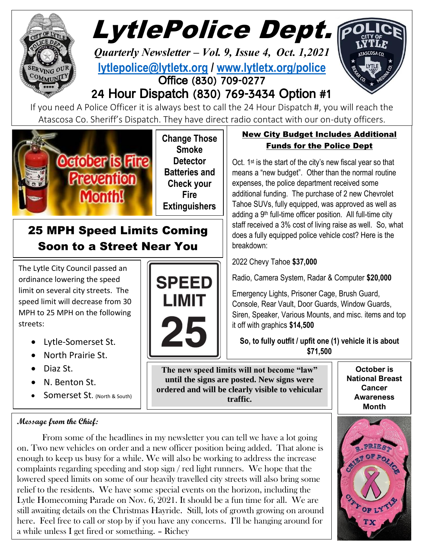

 The Lytle City Council passed an ordinance lowering the speed limit on several city streets. The speed limit will decrease from 30 MPH to 25 MPH on the following streets:

Soon to a Street Near You

- Lytle-Somerset St.
- North Prairie St.
- Diaz St.
- N. Benton St.
- Somerset St. (North & South)

### **Message from the Chief:**

**SPEED LIMIT** 

**The new speed limits will not become "law" until the signs are posted. New signs were ordered and will be clearly visible to vehicular traffic.**

**October is Cancer Awareness Month**

From some of the headlines in my newsletter you can tell we have a lot going on. Two new vehicles on order and a new officer position being added. That alone is enough to keep us busy for a while. We will also be working to address the increase complaints regarding speeding and stop sign / red light runners. We hope that the lowered speed limits on some of our heavily travelled city streets will also bring some relief to the residents. We have some special events on the horizon, including the Lytle Homecoming Parade on Nov. 6, 2021. It should be a fun time for all. We are still awaiting details on the Christmas Hayride. Still, lots of growth growing on around here. Feel free to call or stop by if you have any concerns. I'll be hanging around for a while unless I get fired or something. – Richey

staff received a 3% cost of living raise as well. So, what breakdown:

2022 Chevy Tahoe **\$37,000**

Radio, Camera System, Radar & Computer **\$20,000**

Emergency Lights, Prisoner Cage, Brush Guard, Console, Rear Vault, Door Guards, Window Guards, Siren, Speaker, Various Mounts, and misc. items and top it off with graphics **\$14,500**

**So, to fully outfit / upfit one (1) vehicle it is about \$71,500**

**National Breast**